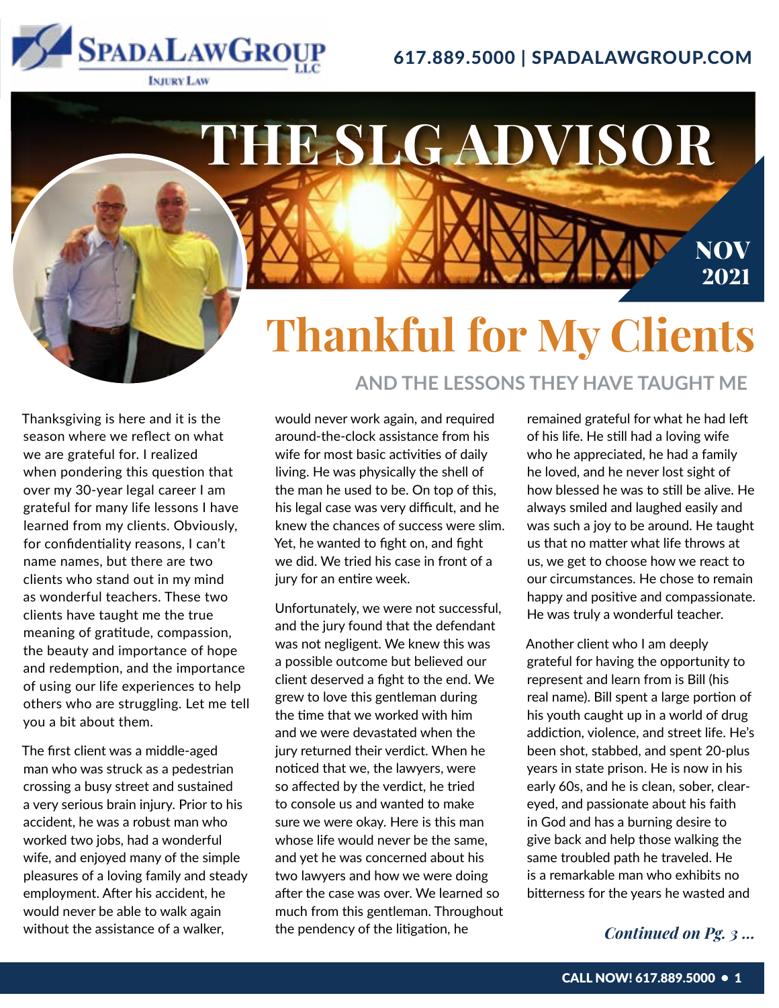## 617.889.5000 | SPADALAWGROUP.COM

**AND THE LESSONS THEY HAVE TAUGHT ME**



# **Thankful for My Clients THE SLG ADVISOR NOV** 2021

Thanksgiving is here and it is the season where we reflect on what we are grateful for. I realized when pondering this question that over my 30-year legal career I am grateful for many life lessons I have learned from my clients. Obviously, for confidentiality reasons, I can't name names, but there are two clients who stand out in my mind as wonderful teachers. These two clients have taught me the true meaning of gratitude, compassion, the beauty and importance of hope and redemption, and the importance of using our life experiences to help others who are struggling. Let me tell you a bit about them.

The first client was a middle-aged man who was struck as a pedestrian crossing a busy street and sustained a very serious brain injury. Prior to his accident, he was a robust man who worked two jobs, had a wonderful wife, and enjoyed many of the simple pleasures of a loving family and steady employment. After his accident, he would never be able to walk again without the assistance of a walker,

### would never work again, and required around-the-clock assistance from his wife for most basic activities of daily living. He was physically the shell of the man he used to be. On top of this, his legal case was very difficult, and he knew the chances of success were slim. Yet, he wanted to fight on, and fight we did. We tried his case in front of a jury for an entire week.

Unfortunately, we were not successful, and the jury found that the defendant was not negligent. We knew this was a possible outcome but believed our client deserved a fight to the end. We grew to love this gentleman during the time that we worked with him and we were devastated when the jury returned their verdict. When he noticed that we, the lawyers, were so affected by the verdict, he tried to console us and wanted to make sure we were okay. Here is this man whose life would never be the same, and yet he was concerned about his two lawyers and how we were doing after the case was over. We learned so much from this gentleman. Throughout the pendency of the litigation, he

remained grateful for what he had left of his life. He still had a loving wife who he appreciated, he had a family he loved, and he never lost sight of how blessed he was to still be alive. He always smiled and laughed easily and was such a joy to be around. He taught us that no matter what life throws at us, we get to choose how we react to our circumstances. He chose to remain happy and positive and compassionate. He was truly a wonderful teacher.

Another client who I am deeply grateful for having the opportunity to represent and learn from is Bill (his real name). Bill spent a large portion of his youth caught up in a world of drug addiction, violence, and street life. He's been shot, stabbed, and spent 20-plus years in state prison. He is now in his early 60s, and he is clean, sober, cleareyed, and passionate about his faith in God and has a burning desire to give back and help those walking the same troubled path he traveled. He is a remarkable man who exhibits no bitterness for the years he wasted and

### *Continued on Pg. 3 ...*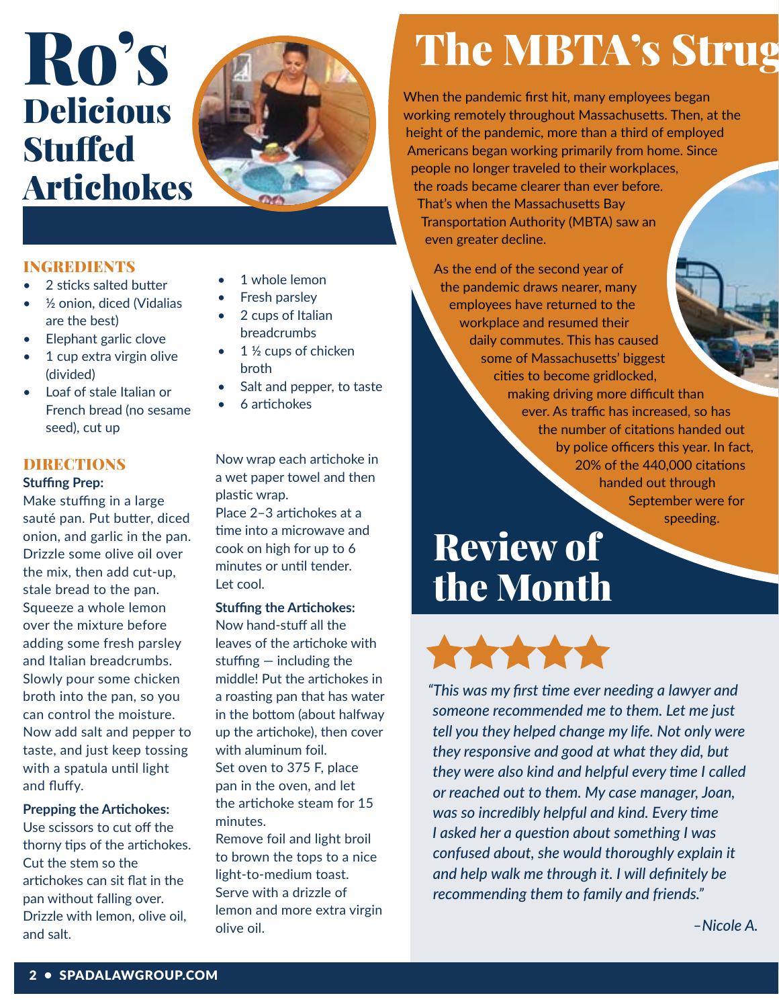# Ro's Delicious Stuffed Artichokes



### INGREDIENTS

- 2 sticks salted butter
- ½ onion, diced (Vidalias are the best)
- Elephant garlic clove
- 1 cup extra virgin olive (divided)
- Loaf of stale Italian or French bread (no sesame seed), cut up

### DIRECTIONS

### **Stuffing Prep:**

Make stuffing in a large sauté pan. Put butter, diced onion, and garlic in the pan. Drizzle some olive oil over the mix, then add cut-up, stale bread to the pan. Squeeze a whole lemon over the mixture before adding some fresh parsley and Italian breadcrumbs. Slowly pour some chicken broth into the pan, so you can control the moisture. Now add salt and pepper to taste, and just keep tossing with a spatula until light and fluffy.

### **Prepping the Artichokes:**

Use scissors to cut off the thorny tips of the artichokes. Cut the stem so the artichokes can sit flat in the pan without falling over. Drizzle with lemon, olive oil, and salt.

- 1 whole lemon
- Fresh parsley
- 2 cups of Italian breadcrumbs
- $1\frac{1}{2}$  cups of chicken broth
- Salt and pepper, to taste
- 6 artichokes

Now wrap each artichoke in a wet paper towel and then plastic wrap.

Place 2–3 artichokes at a time into a microwave and cook on high for up to 6 minutes or until tender. Let cool.

**Stuffing the Artichokes:** Now hand-stuff all the

leaves of the artichoke with stuffing — including the middle! Put the artichokes in a roasting pan that has water in the bottom (about halfway up the artichoke), then cover with aluminum foil. Set oven to 375 F, place pan in the oven, and let the artichoke steam for 15 minutes.

Remove foil and light broil to brown the tops to a nice light-to-medium toast. Serve with a drizzle of lemon and more extra virgin olive oil.

# The MBTA's Strug

When the pandemic first hit, many employees began working remotely throughout Massachusetts. Then, at the height of the pandemic, more than a third of employed Americans began working primarily from home. Since people no longer traveled to their workplaces, the roads became clearer than ever before. That's when the Massachusetts Bay Transportation Authority (MBTA) saw an even greater decline.

As the end of the second year of the pandemic draws nearer, many employees have returned to the workplace and resumed their daily commutes. This has caused some of Massachusetts' biggest cities to become gridlocked, making driving more difficult than ever. As traffic has increased, so has the number of citations handed out by police officers this year. In fact, 20% of the 440,000 citations handed out through September were for speeding.

# Review of the Month



*"This was my first time ever needing a lawyer and someone recommended me to them. Let me just tell you they helped change my life. Not only were they responsive and good at what they did, but they were also kind and helpful every time I called or reached out to them. My case manager, Joan, was so incredibly helpful and kind. Every time I asked her a question about something I was confused about, she would thoroughly explain it and help walk me through it. I will definitely be recommending them to family and friends."*

*–Nicole A.*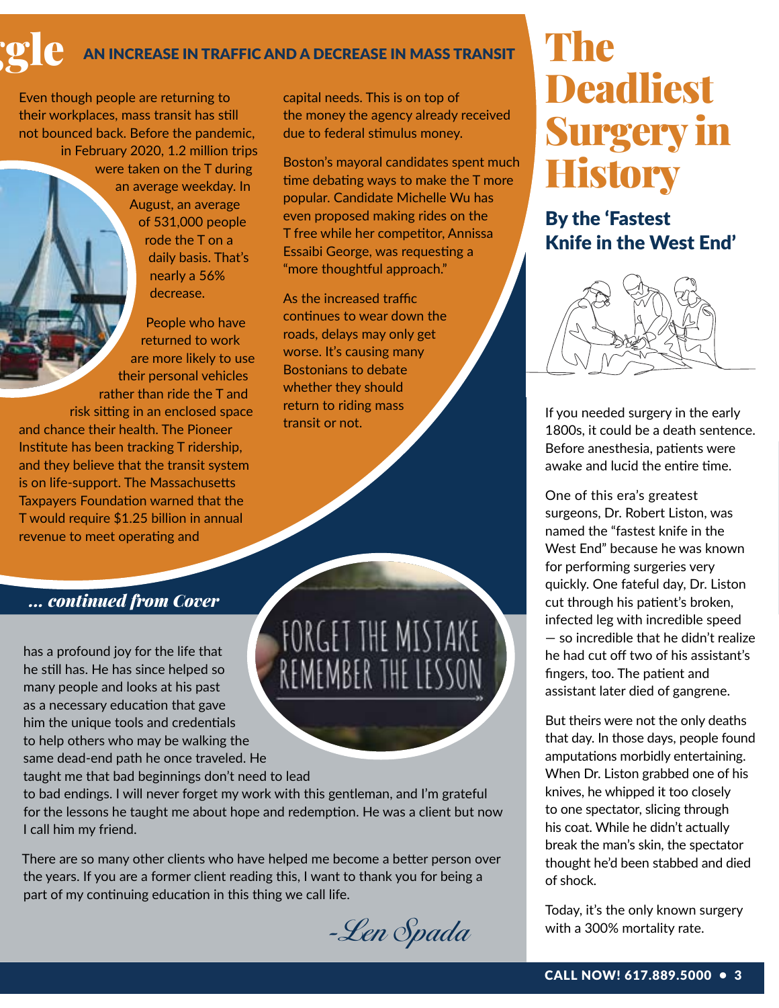## AN INCREASE IN TRAFFIC AND A DECREASE IN MASS TRANSIT

Even though people are returning to their workplaces, mass transit has still not bounced back. Before the pandemic, in February 2020, 1.2 million trips were taken on the T during an average weekday. In August, an average of 531,000 people rode the T on a daily basis. That's nearly a 56% decrease.

People who have returned to work are more likely to use their personal vehicles rather than ride the T and risk sitting in an enclosed space and chance their health. The Pioneer Institute has been tracking T ridership, and they believe that the transit system is on life-support. The Massachusetts Taxpayers Foundation warned that the T would require \$1.25 billion in annual revenue to meet operating and

capital needs. This is on top of the money the agency already received due to federal stimulus money.

Boston's mayoral candidates spent much time debating ways to make the T more popular. Candidate Michelle Wu has even proposed making rides on the T free while her competitor, Annissa Essaibi George, was requesting a "more thoughtful approach."

As the increased traffic continues to wear down the roads, delays may only get worse. It's causing many Bostonians to debate whether they should return to riding mass transit or not.

FORGET THE MISTAKE

REMEMBER THE LESSON

## **The Deadliest** Surgery in **History**

By the 'Fastest Knife in the West End'



If you needed surgery in the early 1800s, it could be a death sentence. Before anesthesia, patients were awake and lucid the entire time.

One of this era's greatest surgeons, Dr. Robert Liston, was named the "fastest knife in the West End" because he was known for performing surgeries very quickly. One fateful day, Dr. Liston cut through his patient's broken, infected leg with incredible speed — so incredible that he didn't realize he had cut off two of his assistant's fingers, too. The patient and assistant later died of gangrene.

But theirs were not the only deaths that day. In those days, people found amputations morbidly entertaining. When Dr. Liston grabbed one of his knives, he whipped it too closely to one spectator, slicing through his coat. While he didn't actually break the man's skin, the spectator thought he'd been stabbed and died of shock.

Today, it's the only known surgery with a 300% mortality rate.

### *... continued from Cover*

has a profound joy for the life that he still has. He has since helped so many people and looks at his past as a necessary education that gave him the unique tools and credentials to help others who may be walking the same dead-end path he once traveled. He

taught me that bad beginnings don't need to lead

to bad endings. I will never forget my work with this gentleman, and I'm grateful for the lessons he taught me about hope and redemption. He was a client but now I call him my friend.

There are so many other clients who have helped me become a better person over the years. If you are a former client reading this, I want to thank you for being a part of my continuing education in this thing we call life.

-Len Spada